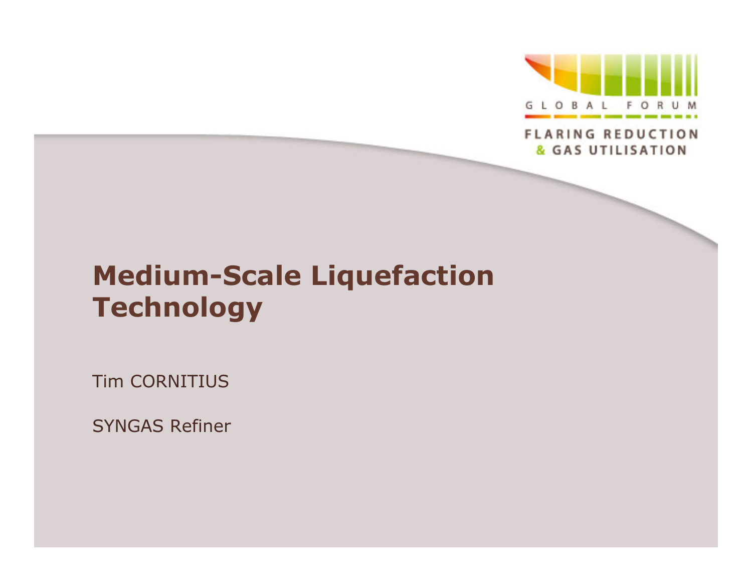

**FLARING REDUCTION** & GAS UTILISATION

# **Medium-Scale Liquefaction Technology**

Tim CORNITIUS

SYNGAS Refiner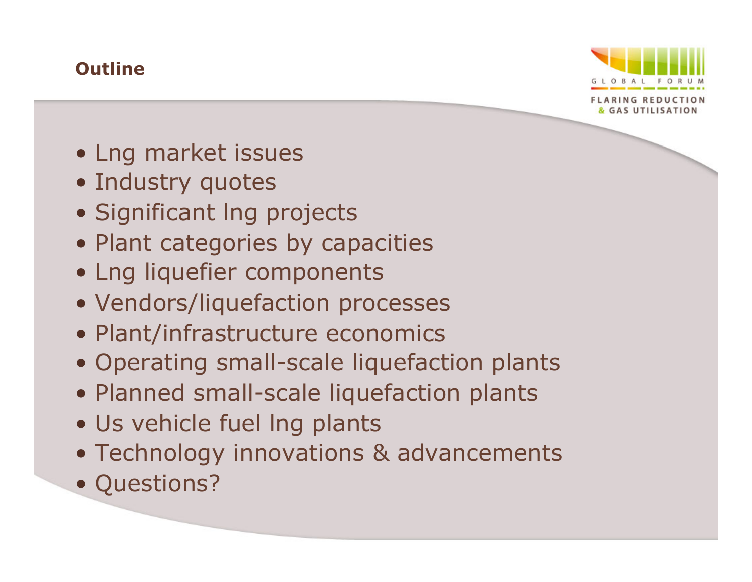### **Outline**



- Lng market issues
- Industry quotes
- Significant lng projects
- Plant categories by capacities
- Lng liquefier components
- Vendors/liquefaction processes
- Plant/infrastructure economics
- Operating small-scale liquefaction plants
- Planned small-scale liquefaction plants
- Us vehicle fuel lng plants
- Technology innovations & advancements
- Questions?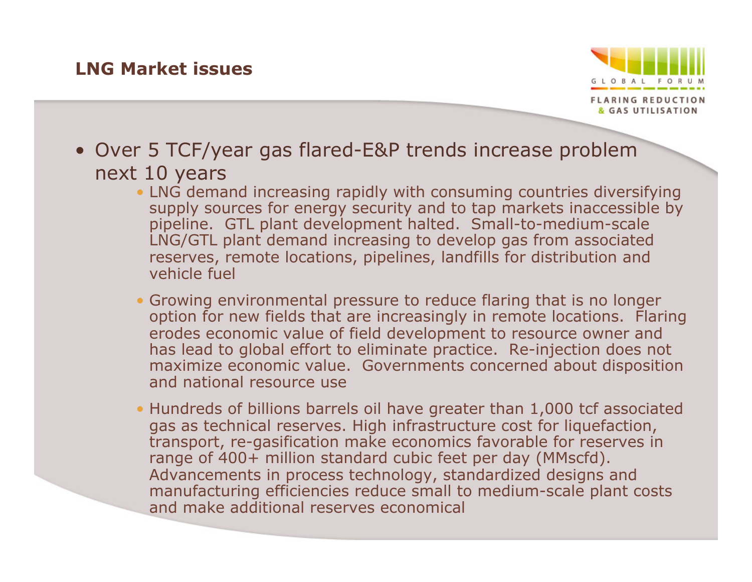#### **LNG Market issues**



- Over 5 TCF/year gas flared-E&P trends increase problem next 10 years
	- LNG demand increasing rapidly with consuming countries diversifying supply sources for energy security and to tap markets inaccessible by pipeline. GTL plant development halted. Small-to-medium-scale LNG/GTL plant demand increasing to develop gas from associated reserves, remote locations, pipelines, landfills for distribution and vehicle fuel
	- Growing environmental pressure to reduce flaring that is no longer option for new fields that are increasingly in remote locations. Flaring erodes economic value of field development to resource owner and has lead to global effort to eliminate practice. Re-injection does not maximize economic value. Governments concerned about disposition and national resource use
	- Hundreds of billions barrels oil have greater than 1,000 tcf associated gas as technical reserves. High infrastructure cost for liquefaction, transport, re-gasification make economics favorable for reserves in range of 400+ million standard cubic feet per day (MMscfd). Advancements in process technology, standardized designs and manufacturing efficiencies reduce small to medium-scale plant costs and make additional reserves economical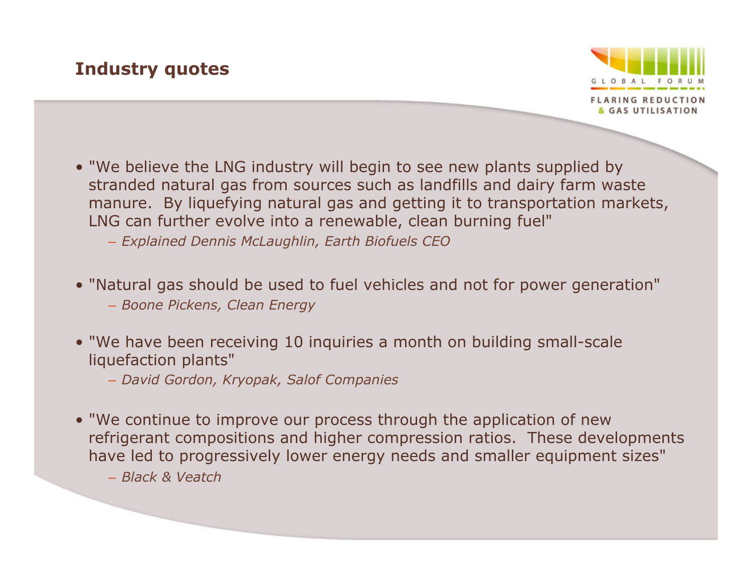### **Industry quotes**



- "We believe the LNG industry will begin to see new plants supplied by stranded natural gas from sources such as landfills and dairy farm waste manure. By liquefying natural gas and getting it to transportation markets, LNG can further evolve into a renewable, clean burning fuel"
	- *Explained Dennis McLaughlin, Earth Biofuels CEO*
- "Natural gas should be used to fuel vehicles and not for power generation"
	- *Boone Pickens, Clean Energy*
- "We have been receiving 10 inquiries a month on building small-scale liquefaction plants"
	- *David Gordon, Kryopak, Salof Companies*
- "We continue to improve our process through the application of new refrigerant compositions and higher compression ratios. These developments have led to progressively lower energy needs and smaller equipment sizes"

– *Black & Veatch*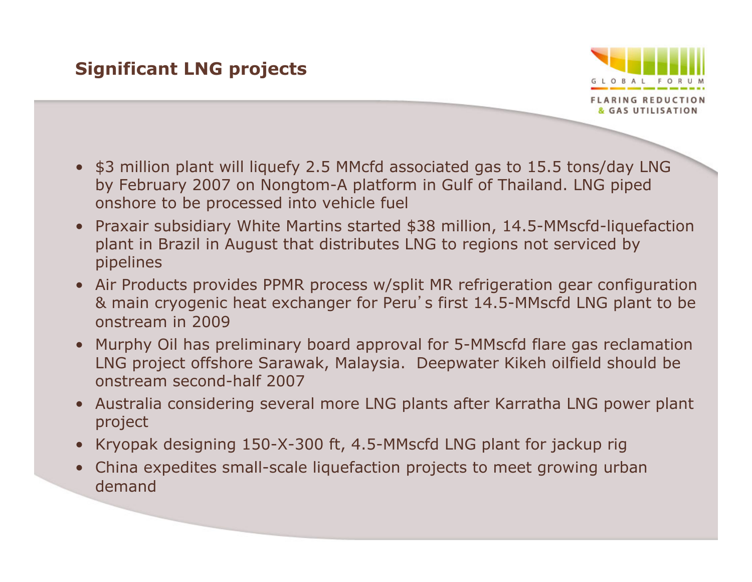### **Significant LNG projects**



- \$3 million plant will liquefy 2.5 MMcfd associated gas to 15.5 tons/day LNG by February 2007 on Nongtom-A platform in Gulf of Thailand. LNG piped onshore to be processed into vehicle fuel
- Praxair subsidiary White Martins started \$38 million, 14.5-MMscfd-liquefaction plant in Brazil in August that distributes LNG to regions not serviced by pipelines
- Air Products provides PPMR process w/split MR refrigeration gear configuration & main cryogenic heat exchanger for Peru's first 14.5-MMscfd LNG plant to be onstream in 2009
- Murphy Oil has preliminary board approval for 5-MMscfd flare gas reclamation LNG project offshore Sarawak, Malaysia. Deepwater Kikeh oilfield should be onstream second-half 2007
- Australia considering several more LNG plants after Karratha LNG power plant project
- Kryopak designing 150-X-300 ft, 4.5-MMscfd LNG plant for jackup rig
- China expedites small-scale liquefaction projects to meet growing urban demand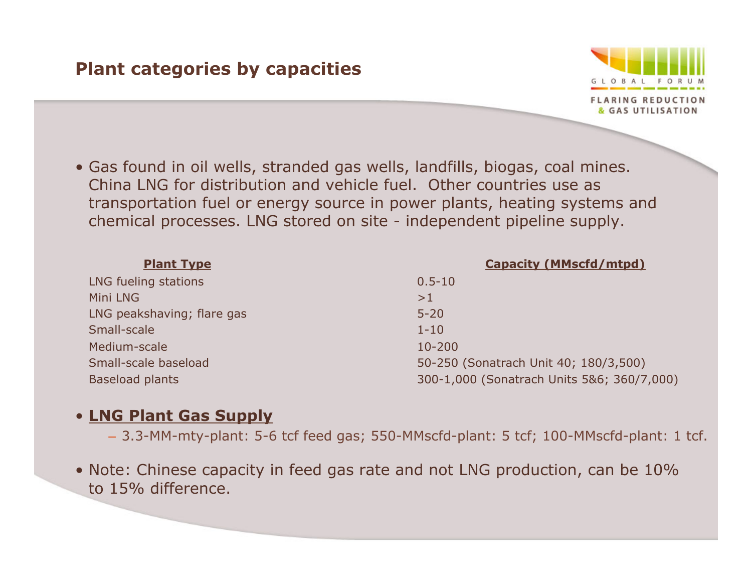#### **Plant categories by capacities**



• Gas found in oil wells, stranded gas wells, landfills, biogas, coal mines. China LNG for distribution and vehicle fuel. Other countries use as transportation fuel or energy source in power plants, heating systems and chemical processes. LNG stored on site - independent pipeline supply.

| <b>Plant Type</b>          | <b>Capacity (MMscfd/mtpd)</b>              |
|----------------------------|--------------------------------------------|
| LNG fueling stations       | $0.5 - 10$                                 |
| Mini LNG                   | >1                                         |
| LNG peakshaving; flare gas | $5 - 20$                                   |
| Small-scale                | $1 - 10$                                   |
| Medium-scale               | $10 - 200$                                 |
| Small-scale baseload       | 50-250 (Sonatrach Unit 40; 180/3,500)      |
| <b>Baseload plants</b>     | 300-1,000 (Sonatrach Units 5&6; 360/7,000) |

#### • **LNG Plant Gas Supply**

- 3.3-MM-mty-plant: 5-6 tcf feed gas; 550-MMscfd-plant: 5 tcf; 100-MMscfd-plant: 1 tcf.
- Note: Chinese capacity in feed gas rate and not LNG production, can be 10% to 15% difference.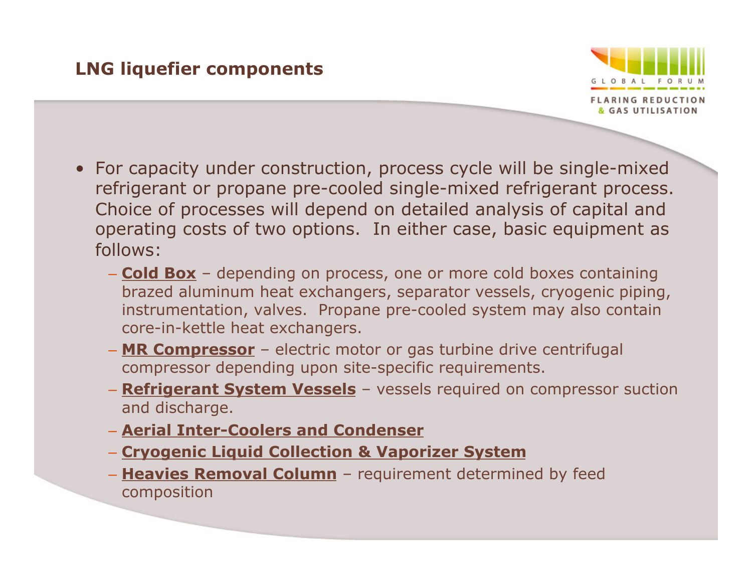### **LNG liquefier components**



- For capacity under construction, process cycle will be single-mixed refrigerant or propane pre-cooled single-mixed refrigerant process. Choice of processes will depend on detailed analysis of capital and operating costs of two options. In either case, basic equipment as follows:
	- **Cold Box** depending on process, one or more cold boxes containing brazed aluminum heat exchangers, separator vessels, cryogenic piping, instrumentation, valves. Propane pre-cooled system may also contain core-in-kettle heat exchangers.
	- **MR Compressor** electric motor or gas turbine drive centrifugal compressor depending upon site-specific requirements.
	- **Refrigerant System Vessels** vessels required on compressor suction and discharge.
	- **Aerial Inter-Coolers and Condenser**
	- **Cryogenic Liquid Collection & Vaporizer System**
	- **Heavies Removal Column** requirement determined by feed composition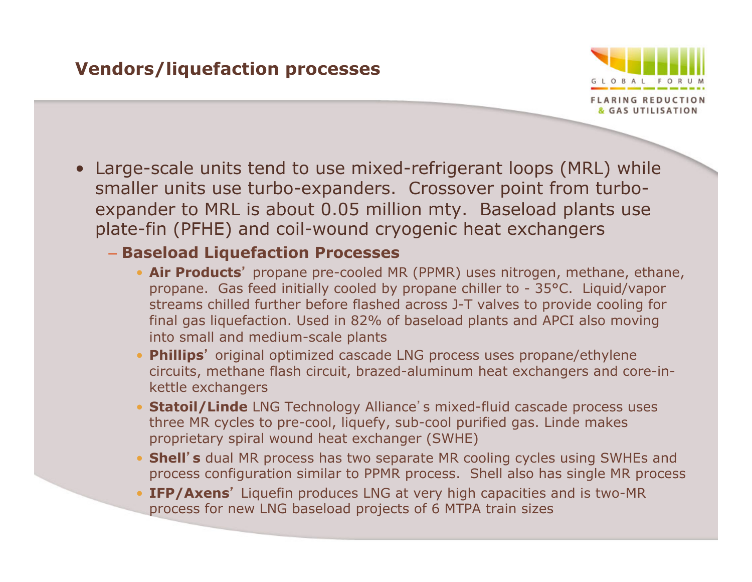#### **Vendors/liquefaction processes**



• Large-scale units tend to use mixed-refrigerant loops (MRL) while smaller units use turbo-expanders. Crossover point from turboexpander to MRL is about 0.05 million mty. Baseload plants use plate-fin (PFHE) and coil-wound cryogenic heat exchangers

#### – **Baseload Liquefaction Processes**

- **Air Products**' propane pre-cooled MR (PPMR) uses nitrogen, methane, ethane, propane. Gas feed initially cooled by propane chiller to - 35°C. Liquid/vapor streams chilled further before flashed across J-T valves to provide cooling for final gas liquefaction. Used in 82% of baseload plants and APCI also moving into small and medium-scale plants
- **Phillips**' original optimized cascade LNG process uses propane/ethylene circuits, methane flash circuit, brazed-aluminum heat exchangers and core-inkettle exchangers
- **Statoil/Linde** LNG Technology Alliance's mixed-fluid cascade process uses three MR cycles to pre-cool, liquefy, sub-cool purified gas. Linde makes proprietary spiral wound heat exchanger (SWHE)
- **Shell**'**s** dual MR process has two separate MR cooling cycles using SWHEs and process configuration similar to PPMR process. Shell also has single MR process
- **IFP/Axens**' Liquefin produces LNG at very high capacities and is two-MR process for new LNG baseload projects of 6 MTPA train sizes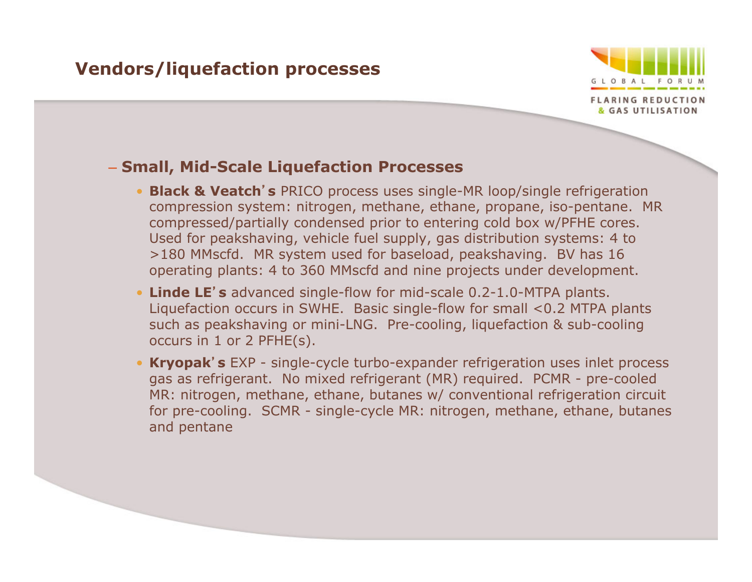#### **Vendors/liquefaction processes**



#### – **Small, Mid-Scale Liquefaction Processes**

- **Black & Veatch**'**s** PRICO process uses single-MR loop/single refrigeration compression system: nitrogen, methane, ethane, propane, iso-pentane. MR compressed/partially condensed prior to entering cold box w/PFHE cores. Used for peakshaving, vehicle fuel supply, gas distribution systems: 4 to >180 MMscfd. MR system used for baseload, peakshaving. BV has 16 operating plants: 4 to 360 MMscfd and nine projects under development.
- **Linde LE**'**s** advanced single-flow for mid-scale 0.2-1.0-MTPA plants. Liquefaction occurs in SWHE. Basic single-flow for small <0.2 MTPA plants such as peakshaving or mini-LNG. Pre-cooling, liquefaction & sub-cooling occurs in 1 or 2 PFHE(s).
- **Kryopak**'**s** EXP single-cycle turbo-expander refrigeration uses inlet process gas as refrigerant. No mixed refrigerant (MR) required. PCMR - pre-cooled MR: nitrogen, methane, ethane, butanes w/ conventional refrigeration circuit for pre-cooling. SCMR - single-cycle MR: nitrogen, methane, ethane, butanes and pentane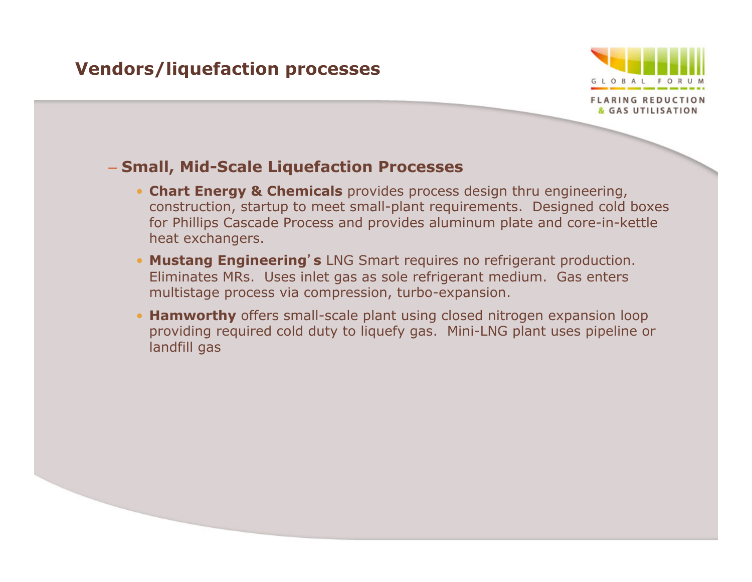#### **Vendors/liquefaction processes**



#### – **Small, Mid-Scale Liquefaction Processes**

- **Chart Energy & Chemicals** provides process design thru engineering, construction, startup to meet small-plant requirements. Designed cold boxes for Phillips Cascade Process and provides aluminum plate and core-in-kettle heat exchangers.
- **Mustang Engineering**'**s** LNG Smart requires no refrigerant production. Eliminates MRs. Uses inlet gas as sole refrigerant medium. Gas enters multistage process via compression, turbo-expansion.
- **Hamworthy** offers small-scale plant using closed nitrogen expansion loop providing required cold duty to liquefy gas. Mini-LNG plant uses pipeline or landfill gas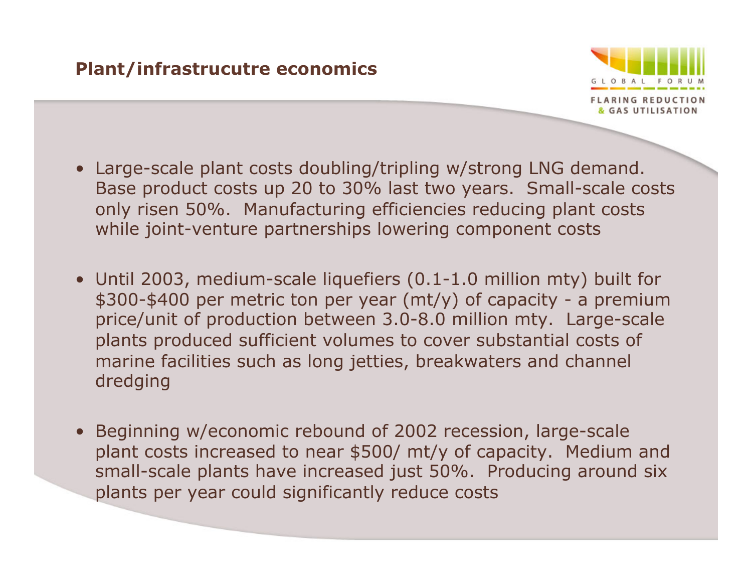#### **Plant/infrastrucutre economics**



- Large-scale plant costs doubling/tripling w/strong LNG demand. Base product costs up 20 to 30% last two years. Small-scale costs only risen 50%. Manufacturing efficiencies reducing plant costs while joint-venture partnerships lowering component costs
- Until 2003, medium-scale liquefiers (0.1-1.0 million mty) built for \$300-\$400 per metric ton per year (mt/y) of capacity - a premium price/unit of production between 3.0-8.0 million mty. Large-scale plants produced sufficient volumes to cover substantial costs of marine facilities such as long jetties, breakwaters and channel dredging
- Beginning w/economic rebound of 2002 recession, large-scale plant costs increased to near \$500/ mt/y of capacity. Medium and small-scale plants have increased just 50%. Producing around six plants per year could significantly reduce costs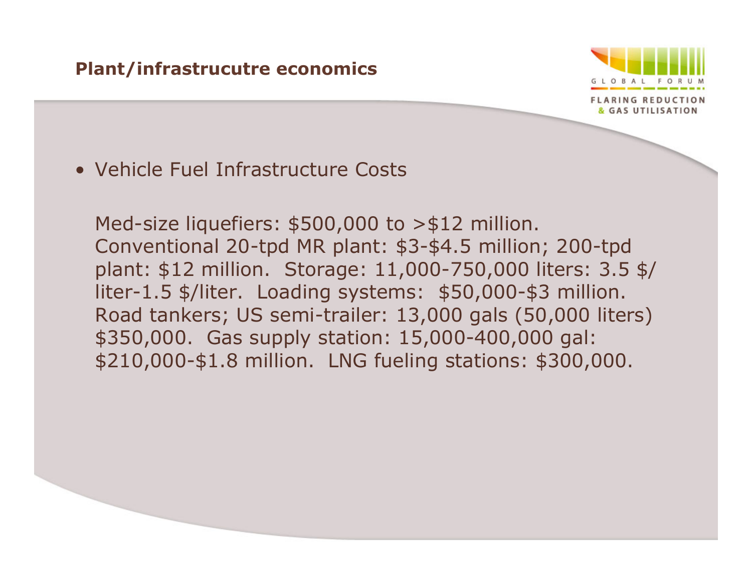#### **Plant/infrastrucutre economics**



• Vehicle Fuel Infrastructure Costs

Med-size liquefiers: \$500,000 to >\$12 million. Conventional 20-tpd MR plant: \$3-\$4.5 million; 200-tpd plant: \$12 million. Storage: 11,000-750,000 liters: 3.5 \$/ liter-1.5 \$/liter. Loading systems: \$50,000-\$3 million. Road tankers; US semi-trailer: 13,000 gals (50,000 liters) \$350,000. Gas supply station: 15,000-400,000 gal: \$210,000-\$1.8 million. LNG fueling stations: \$300,000.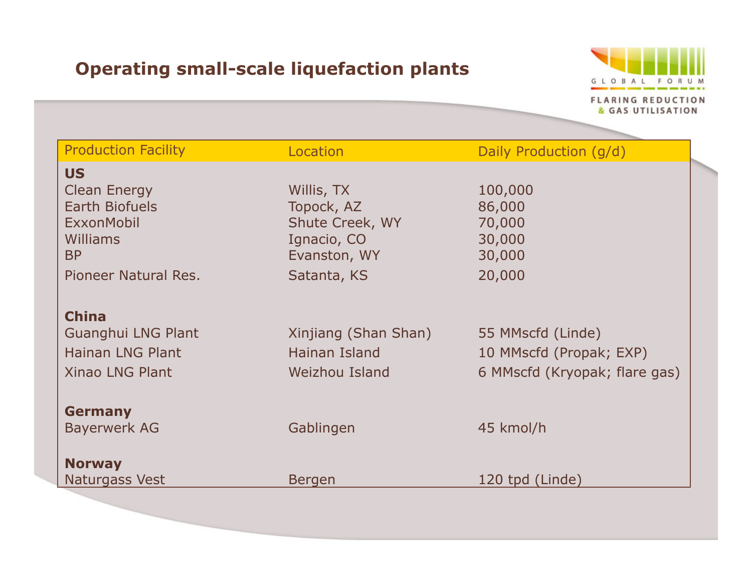## **Operating small-scale liquefaction plants**



| <b>Production Facility</b> | Location             | Daily Production (g/d)        |
|----------------------------|----------------------|-------------------------------|
| <b>US</b>                  |                      |                               |
| <b>Clean Energy</b>        | Willis, TX           | 100,000                       |
| <b>Earth Biofuels</b>      | Topock, AZ           | 86,000                        |
| ExxonMobil                 | Shute Creek, WY      | 70,000                        |
| <b>Williams</b>            | Ignacio, CO          | 30,000                        |
| <b>BP</b>                  | Evanston, WY         | 30,000                        |
| Pioneer Natural Res.       | Satanta, KS          | 20,000                        |
| <b>China</b>               |                      |                               |
| Guanghui LNG Plant         | Xinjiang (Shan Shan) | 55 MMscfd (Linde)             |
| <b>Hainan LNG Plant</b>    | Hainan Island        | 10 MMscfd (Propak; EXP)       |
| <b>Xinao LNG Plant</b>     | Weizhou Island       | 6 MMscfd (Kryopak; flare gas) |
| <b>Germany</b>             |                      |                               |
| <b>Bayerwerk AG</b>        | Gablingen            | 45 kmol/h                     |
| <b>Norway</b>              |                      |                               |
| Naturgass Vest             | <b>Bergen</b>        | 120 tpd (Linde)               |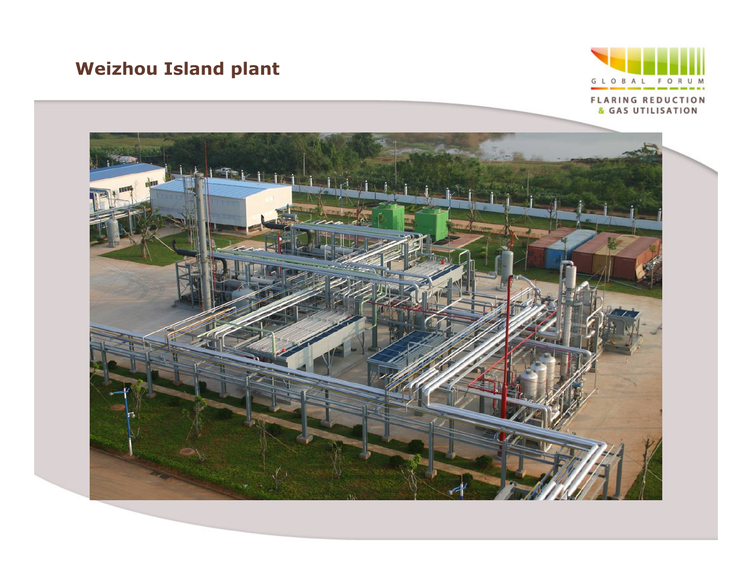## **Weizhou Island plant**



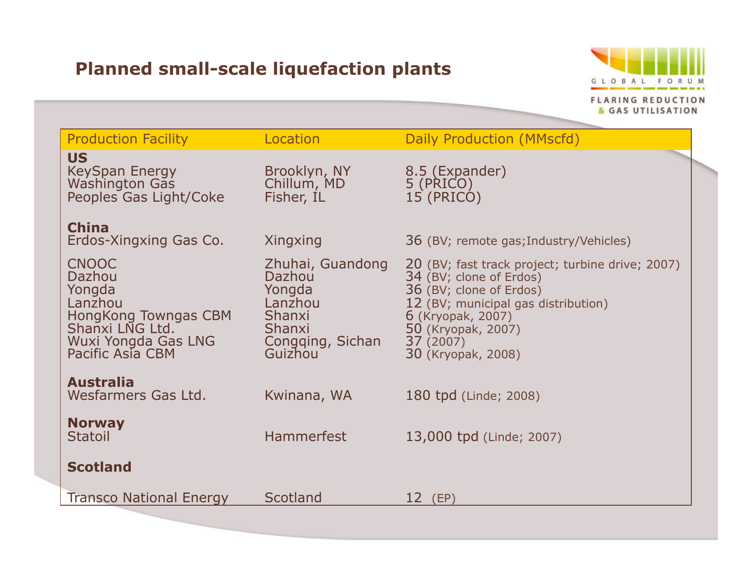## **Planned small-scale liquefaction plants**



| <b>Production Facility</b>                                                                                                        | Location                                                                                           | Daily Production (MMscfd)                                                                                                                                                                                                  |
|-----------------------------------------------------------------------------------------------------------------------------------|----------------------------------------------------------------------------------------------------|----------------------------------------------------------------------------------------------------------------------------------------------------------------------------------------------------------------------------|
| <b>US</b><br><b>KeySpan Energy</b><br><b>Washington Gas</b><br>Peoples Gas Light/Coke                                             | Brooklyn, NY<br>Chillum, MD<br>Fisher, IL                                                          | 8.5 (Expander)<br>5 (PRICO)<br>15 (PRICO)                                                                                                                                                                                  |
| <b>China</b><br>Erdos-Xingxing Gas Co.                                                                                            | Xingxing                                                                                           | 36 (BV; remote gas; Industry/Vehicles)                                                                                                                                                                                     |
| <b>CNOOC</b><br>Dazhou<br>Yongda<br>Lanzhou<br>HongKong Towngas CBM<br>Shanxi LNG Ltd.<br>Wuxi Yongda Gas LNG<br>Pacific Asia CBM | Zhuhai, Guandong<br>Dazhou<br>Yongda<br>Lanzhou<br>Shanxi<br>Shanxi<br>Congqing, Sichan<br>Guizhou | 20 (BV; fast track project; turbine drive; 2007)<br>34 (BV; clone of Erdos)<br>36 (BV; clone of Erdos)<br>12 (BV; municipal gas distribution)<br>6 (Kryopak, 2007)<br>50 (Kryopak, 2007)<br>37(2007)<br>30 (Kryopak, 2008) |
| <b>Australia</b><br>Wesfarmers Gas Ltd.                                                                                           | Kwinana, WA                                                                                        | 180 tpd (Linde; 2008)                                                                                                                                                                                                      |
| <b>Norway</b><br><b>Statoil</b>                                                                                                   | <b>Hammerfest</b>                                                                                  | 13,000 tpd (Linde; 2007)                                                                                                                                                                                                   |
| <b>Scotland</b>                                                                                                                   |                                                                                                    |                                                                                                                                                                                                                            |
| <b>Transco National Energy</b>                                                                                                    | Scotland                                                                                           | $12$ (EP)                                                                                                                                                                                                                  |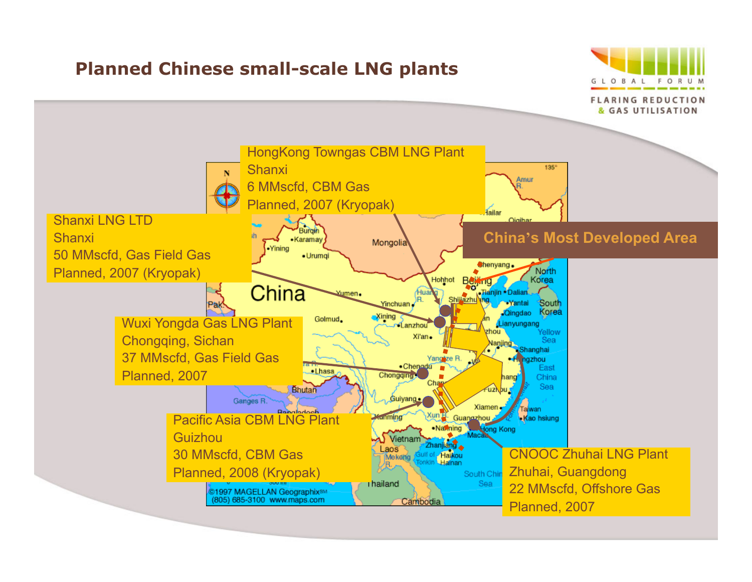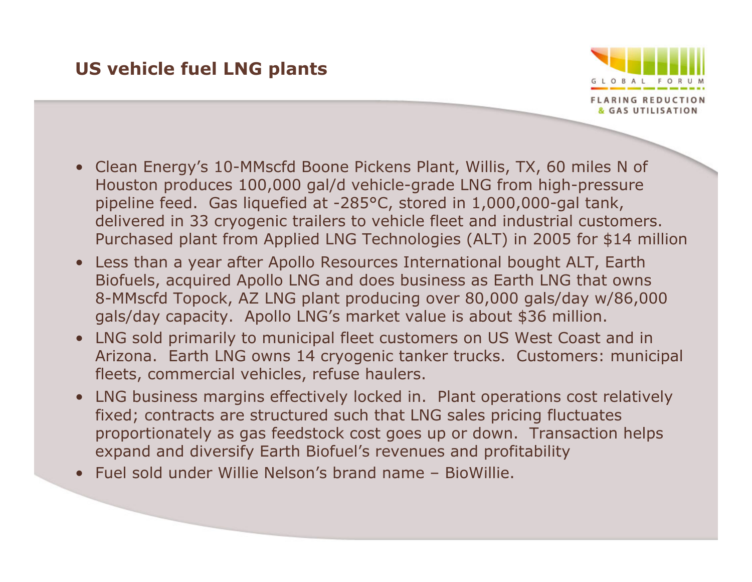### **US vehicle fuel LNG plants**



- Clean Energy's 10-MMscfd Boone Pickens Plant, Willis, TX, 60 miles N of Houston produces 100,000 gal/d vehicle-grade LNG from high-pressure pipeline feed. Gas liquefied at -285°C, stored in 1,000,000-gal tank, delivered in 33 cryogenic trailers to vehicle fleet and industrial customers. Purchased plant from Applied LNG Technologies (ALT) in 2005 for \$14 million
- Less than a year after Apollo Resources International bought ALT, Earth Biofuels, acquired Apollo LNG and does business as Earth LNG that owns 8-MMscfd Topock, AZ LNG plant producing over 80,000 gals/day w/86,000 gals/day capacity. Apollo LNG's market value is about \$36 million.
- LNG sold primarily to municipal fleet customers on US West Coast and in Arizona. Earth LNG owns 14 cryogenic tanker trucks. Customers: municipal fleets, commercial vehicles, refuse haulers.
- LNG business margins effectively locked in. Plant operations cost relatively fixed; contracts are structured such that LNG sales pricing fluctuates proportionately as gas feedstock cost goes up or down. Transaction helps expand and diversify Earth Biofuel's revenues and profitability
- Fuel sold under Willie Nelson's brand name BioWillie.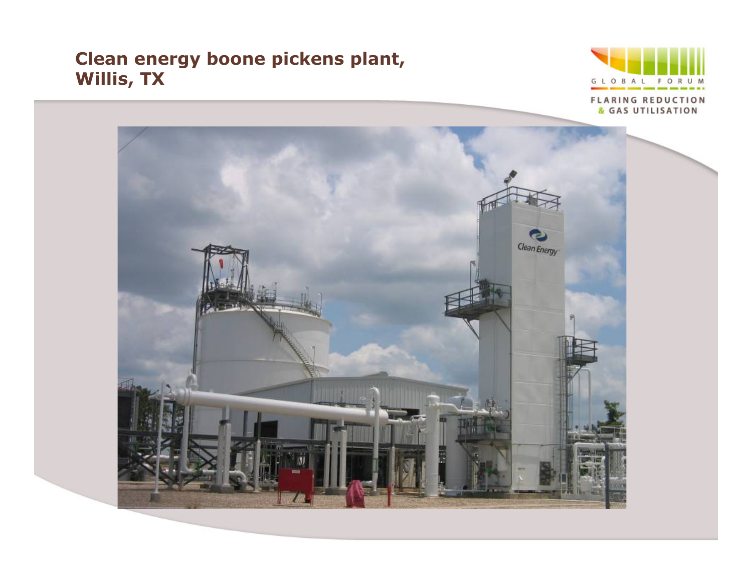### **Clean energy boone pickens plant, Willis, TX**



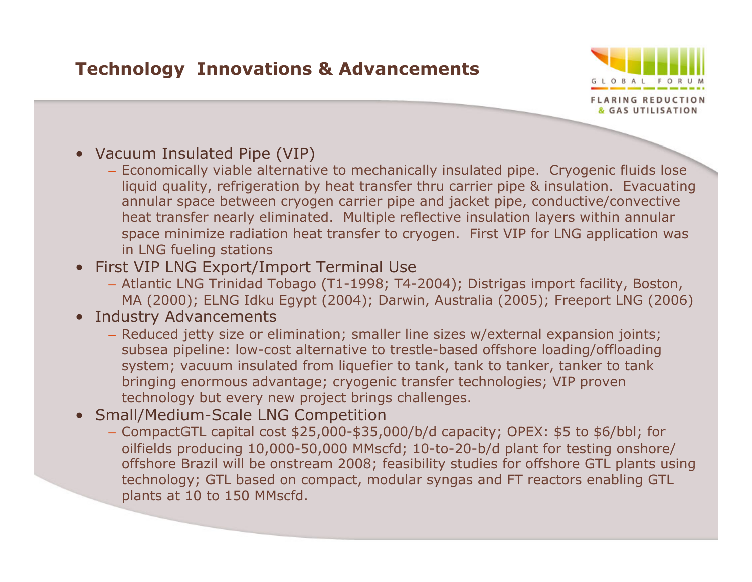### **Technology Innovations & Advancements**



- Vacuum Insulated Pipe (VIP)
	- Economically viable alternative to mechanically insulated pipe. Cryogenic fluids lose liquid quality, refrigeration by heat transfer thru carrier pipe & insulation. Evacuating annular space between cryogen carrier pipe and jacket pipe, conductive/convective heat transfer nearly eliminated. Multiple reflective insulation layers within annular space minimize radiation heat transfer to cryogen. First VIP for LNG application was in LNG fueling stations
- First VIP LNG Export/Import Terminal Use
	- Atlantic LNG Trinidad Tobago (T1-1998; T4-2004); Distrigas import facility, Boston, MA (2000); ELNG Idku Egypt (2004); Darwin, Australia (2005); Freeport LNG (2006)
- Industry Advancements
	- Reduced jetty size or elimination; smaller line sizes w/external expansion joints; subsea pipeline: low-cost alternative to trestle-based offshore loading/offloading system; vacuum insulated from liquefier to tank, tank to tanker, tanker to tank bringing enormous advantage; cryogenic transfer technologies; VIP proven technology but every new project brings challenges.
- Small/Medium-Scale LNG Competition
	- CompactGTL capital cost \$25,000-\$35,000/b/d capacity; OPEX: \$5 to \$6/bbl; for oilfields producing 10,000-50,000 MMscfd; 10-to-20-b/d plant for testing onshore/ offshore Brazil will be onstream 2008; feasibility studies for offshore GTL plants using technology; GTL based on compact, modular syngas and FT reactors enabling GTL plants at 10 to 150 MMscfd.